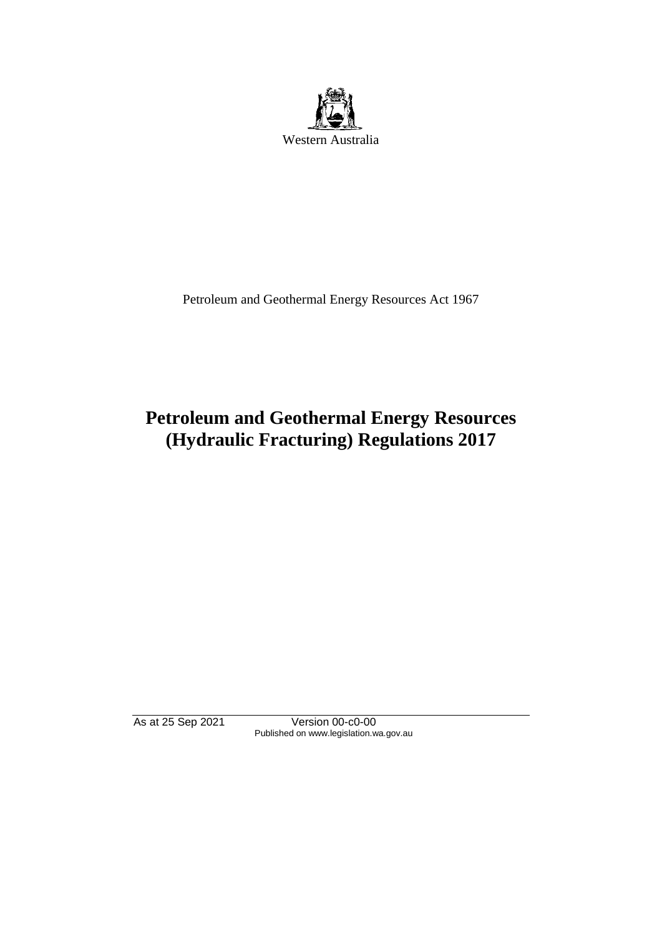

Petroleum and Geothermal Energy Resources Act 1967

# **Petroleum and Geothermal Energy Resources (Hydraulic Fracturing) Regulations 2017**

As at 25 Sep 2021 Version 00-c0-00 Published on www.legislation.wa.gov.au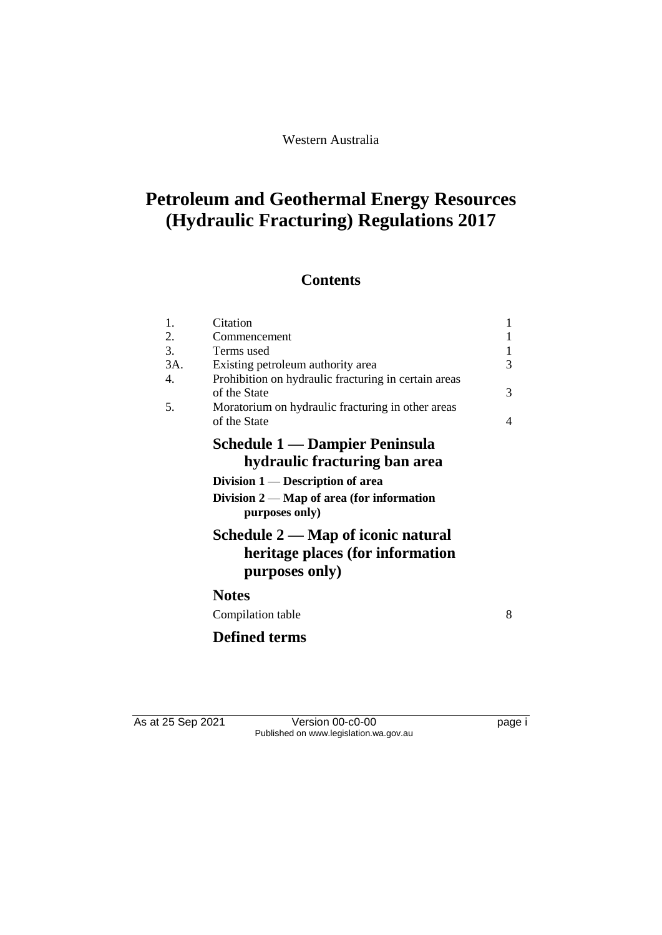Western Australia

# **Petroleum and Geothermal Energy Resources (Hydraulic Fracturing) Regulations 2017**

# **Contents**

| 1.<br>2.<br>3.<br>3A.<br>4.<br>5. | Citation<br>Commencement<br>Terms used<br>Existing petroleum authority area<br>Prohibition on hydraulic fracturing in certain areas<br>of the State<br>Moratorium on hydraulic fracturing in other areas<br>of the State | $\mathbf{1}$<br>$\mathbf{1}$<br>3<br>3<br>$\overline{4}$ |
|-----------------------------------|--------------------------------------------------------------------------------------------------------------------------------------------------------------------------------------------------------------------------|----------------------------------------------------------|
|                                   | <b>Schedule 1 — Dampier Peninsula</b><br>hydraulic fracturing ban area<br>Division $1$ — Description of area<br>Division $2 - Map$ of area (for information<br>purposes only)                                            |                                                          |
|                                   | Schedule 2 — Map of iconic natural<br>heritage places (for information<br>purposes only)                                                                                                                                 |                                                          |
|                                   | <b>Notes</b>                                                                                                                                                                                                             |                                                          |
|                                   | Compilation table                                                                                                                                                                                                        | 8                                                        |
|                                   | <b>Defined terms</b>                                                                                                                                                                                                     |                                                          |

As at 25 Sep 2021 Version 00-c0-00 Page i Published on www.legislation.wa.gov.au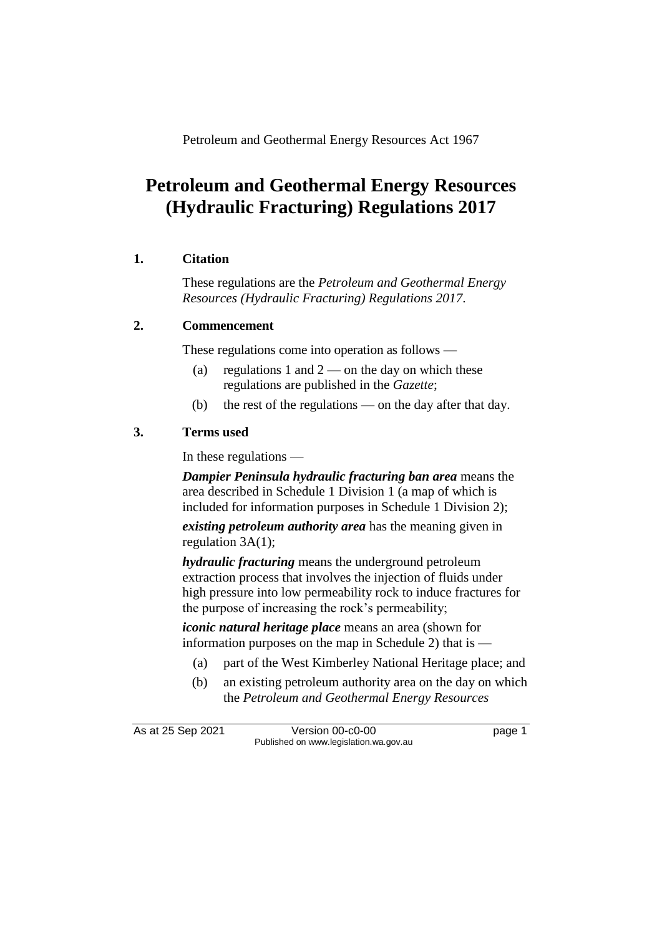Petroleum and Geothermal Energy Resources Act 1967

# **Petroleum and Geothermal Energy Resources (Hydraulic Fracturing) Regulations 2017**

### **1. Citation**

These regulations are the *Petroleum and Geothermal Energy Resources (Hydraulic Fracturing) Regulations 2017*.

## **2. Commencement**

These regulations come into operation as follows —

- (a) regulations 1 and  $2$  on the day on which these regulations are published in the *Gazette*;
- (b) the rest of the regulations on the day after that day.

## **3. Terms used**

In these regulations —

*Dampier Peninsula hydraulic fracturing ban area* means the area described in Schedule 1 Division 1 (a map of which is included for information purposes in Schedule 1 Division 2);

*existing petroleum authority area* has the meaning given in regulation 3A(1);

*hydraulic fracturing* means the underground petroleum extraction process that involves the injection of fluids under high pressure into low permeability rock to induce fractures for the purpose of increasing the rock's permeability;

*iconic natural heritage place* means an area (shown for information purposes on the map in Schedule 2) that is —

- (a) part of the West Kimberley National Heritage place; and
- (b) an existing petroleum authority area on the day on which the *Petroleum and Geothermal Energy Resources*

As at 25 Sep 2021 Version 00-c0-00 page 1 Published on www.legislation.wa.gov.au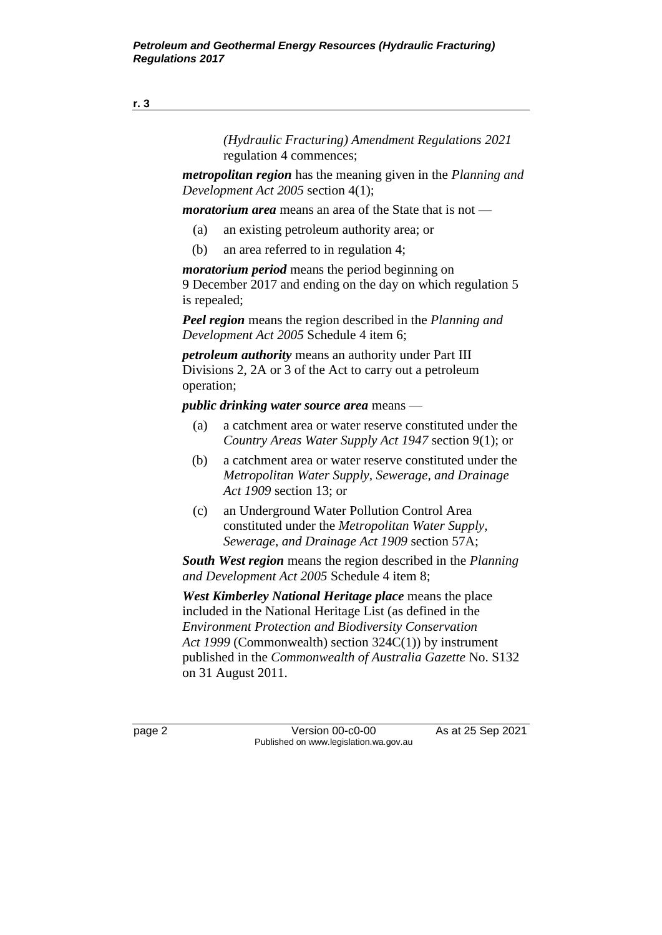*(Hydraulic Fracturing) Amendment Regulations 2021* regulation 4 commences;

*metropolitan region* has the meaning given in the *Planning and Development Act 2005* section 4(1);

*moratorium area* means an area of the State that is not —

- (a) an existing petroleum authority area; or
- (b) an area referred to in regulation 4;

*moratorium period* means the period beginning on 9 December 2017 and ending on the day on which regulation 5 is repealed;

*Peel region* means the region described in the *Planning and Development Act 2005* Schedule 4 item 6;

*petroleum authority* means an authority under Part III Divisions 2, 2A or 3 of the Act to carry out a petroleum operation;

*public drinking water source area* means —

- (a) a catchment area or water reserve constituted under the *Country Areas Water Supply Act 1947* section 9(1); or
- (b) a catchment area or water reserve constituted under the *Metropolitan Water Supply, Sewerage, and Drainage Act 1909* section 13; or
- (c) an Underground Water Pollution Control Area constituted under the *Metropolitan Water Supply, Sewerage, and Drainage Act 1909* section 57A;

*South West region* means the region described in the *Planning and Development Act 2005* Schedule 4 item 8;

*West Kimberley National Heritage place* means the place included in the National Heritage List (as defined in the *Environment Protection and Biodiversity Conservation Act 1999* (Commonwealth) section 324C(1)) by instrument published in the *Commonwealth of Australia Gazette* No. S132 on 31 August 2011.

page 2 Version 00-c0-00 As at 25 Sep 2021 Published on www.legislation.wa.gov.au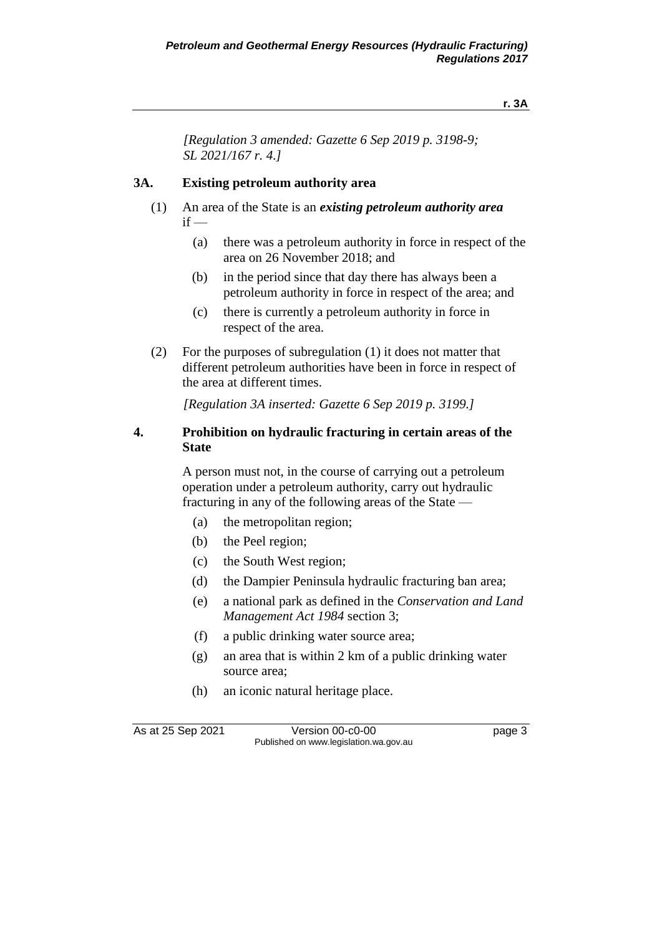#### **r. 3A**

*[Regulation 3 amended: Gazette 6 Sep 2019 p. 3198-9; SL 2021/167 r. 4.]*

### **3A. Existing petroleum authority area**

- (1) An area of the State is an *existing petroleum authority area*  $if -$ 
	- (a) there was a petroleum authority in force in respect of the area on 26 November 2018; and
	- (b) in the period since that day there has always been a petroleum authority in force in respect of the area; and
	- (c) there is currently a petroleum authority in force in respect of the area.
- (2) For the purposes of subregulation (1) it does not matter that different petroleum authorities have been in force in respect of the area at different times.

*[Regulation 3A inserted: Gazette 6 Sep 2019 p. 3199.]*

### **4. Prohibition on hydraulic fracturing in certain areas of the State**

A person must not, in the course of carrying out a petroleum operation under a petroleum authority, carry out hydraulic fracturing in any of the following areas of the State —

- (a) the metropolitan region;
- (b) the Peel region;
- (c) the South West region;
- (d) the Dampier Peninsula hydraulic fracturing ban area;
- (e) a national park as defined in the *Conservation and Land Management Act 1984* section 3;
- (f) a public drinking water source area;
- (g) an area that is within 2 km of a public drinking water source area;
- (h) an iconic natural heritage place.

As at 25 Sep 2021 Version 00-c0-00 page 3 Published on www.legislation.wa.gov.au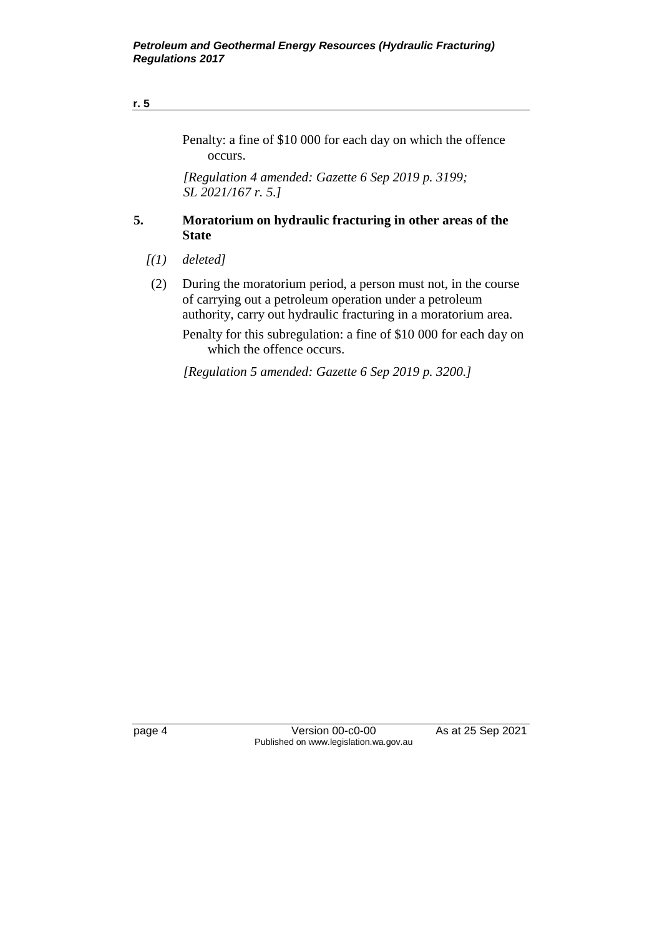#### **r. 5**

Penalty: a fine of \$10 000 for each day on which the offence occurs.

*[Regulation 4 amended: Gazette 6 Sep 2019 p. 3199; SL 2021/167 r. 5.]*

### **5. Moratorium on hydraulic fracturing in other areas of the State**

- *[(1) deleted]*
- (2) During the moratorium period, a person must not, in the course of carrying out a petroleum operation under a petroleum authority, carry out hydraulic fracturing in a moratorium area.

Penalty for this subregulation: a fine of \$10 000 for each day on which the offence occurs.

*[Regulation 5 amended: Gazette 6 Sep 2019 p. 3200.]*

page 4 Version 00-c0-00 As at 25 Sep 2021 Published on www.legislation.wa.gov.au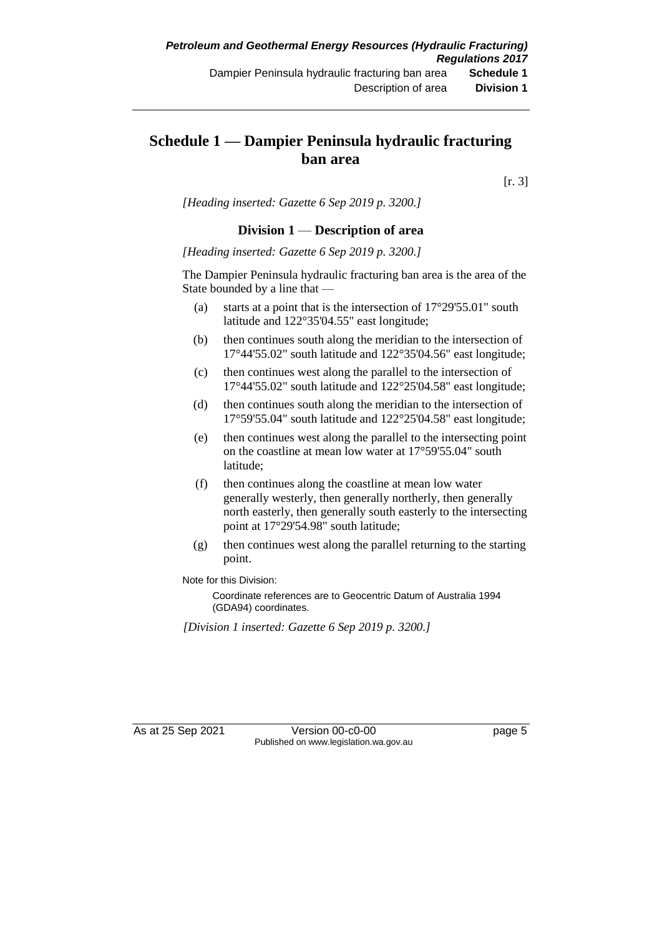## **Schedule 1 — Dampier Peninsula hydraulic fracturing ban area**

[r. 3]

*[Heading inserted: Gazette 6 Sep 2019 p. 3200.]*

#### **Division 1** — **Description of area**

*[Heading inserted: Gazette 6 Sep 2019 p. 3200.]*

The Dampier Peninsula hydraulic fracturing ban area is the area of the State bounded by a line that —

- (a) starts at a point that is the intersection of 17°29'55.01" south latitude and 122°35'04.55" east longitude;
- (b) then continues south along the meridian to the intersection of 17°44'55.02" south latitude and 122°35'04.56" east longitude;
- (c) then continues west along the parallel to the intersection of 17°44'55.02" south latitude and 122°25'04.58" east longitude;
- (d) then continues south along the meridian to the intersection of 17°59'55.04" south latitude and 122°25'04.58" east longitude;
- (e) then continues west along the parallel to the intersecting point on the coastline at mean low water at 17°59'55.04" south latitude;
- (f) then continues along the coastline at mean low water generally westerly, then generally northerly, then generally north easterly, then generally south easterly to the intersecting point at 17°29'54.98" south latitude;
- (g) then continues west along the parallel returning to the starting point.

Note for this Division:

Coordinate references are to Geocentric Datum of Australia 1994 (GDA94) coordinates.

*[Division 1 inserted: Gazette 6 Sep 2019 p. 3200.]*

As at 25 Sep 2021 Version 00-c0-00 Page 5 Published on www.legislation.wa.gov.au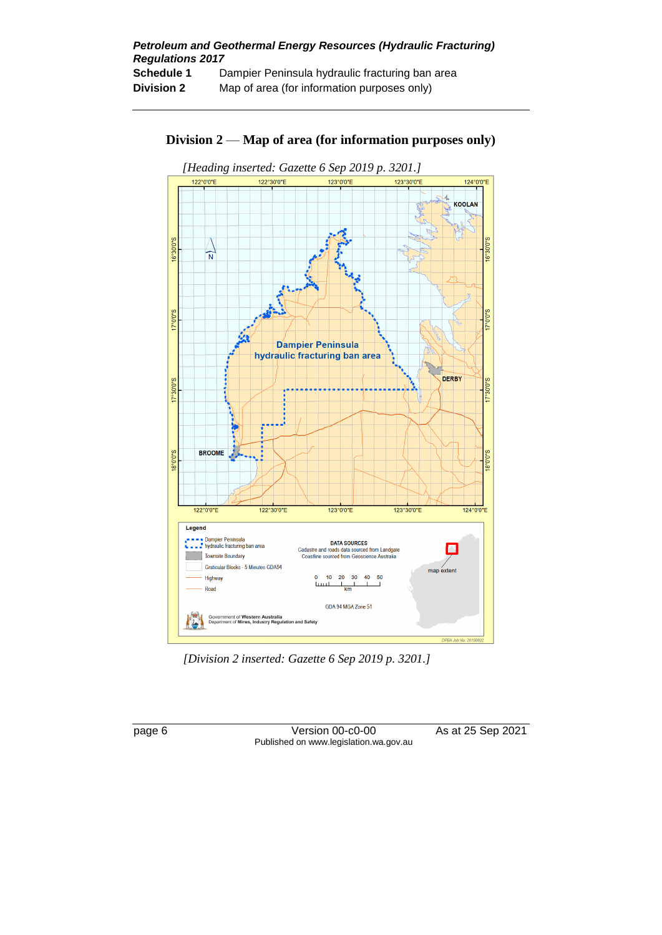

### **Division 2** — **Map of area (for information purposes only)**

*[Division 2 inserted: Gazette 6 Sep 2019 p. 3201.]*



page 6 Version 00-c0-00 As at 25 Sep 2021 Published on www.legislation.wa.gov.au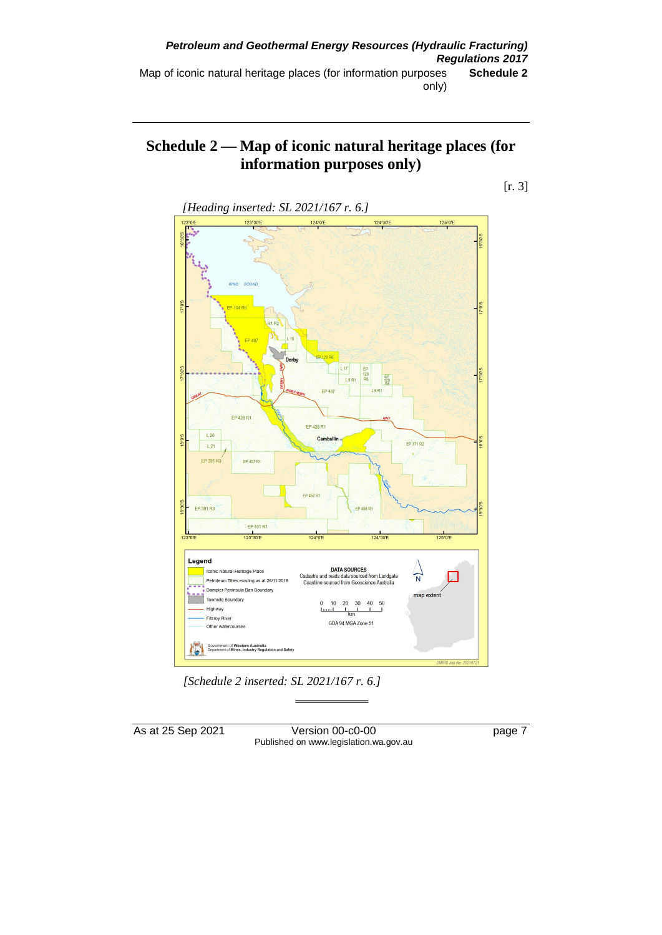## **Schedule 2 — Map of iconic natural heritage places (for information purposes only)**





*[Schedule 2 inserted: SL 2021/167 r. 6.]*

As at 25 Sep 2021 Version 00-c0-00 Page 7 Published on www.legislation.wa.gov.au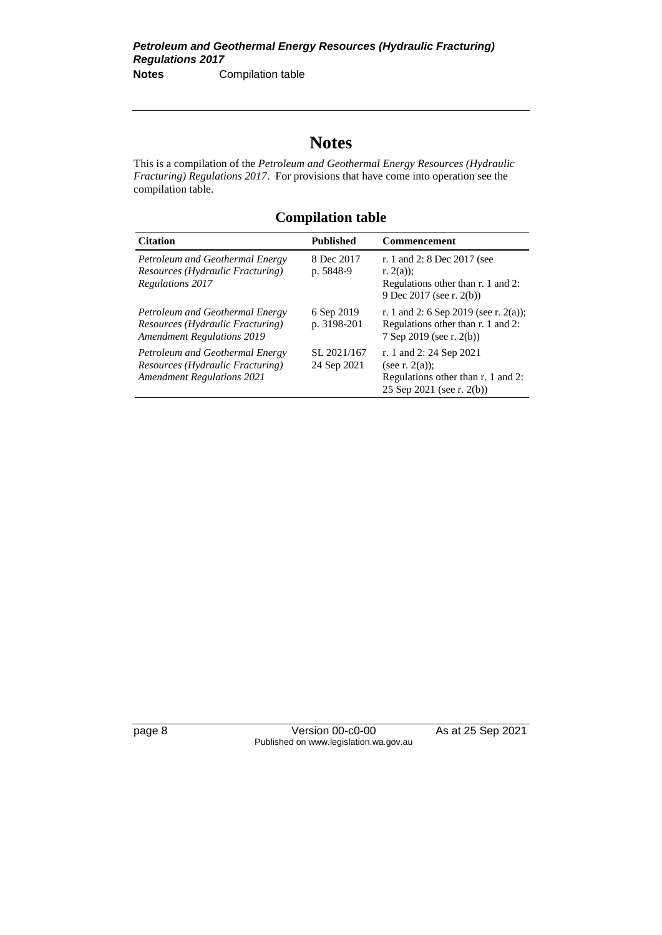# **Notes**

This is a compilation of the *Petroleum and Geothermal Energy Resources (Hydraulic Fracturing) Regulations 2017*. For provisions that have come into operation see the compilation table.

# **Compilation table**

| <b>Citation</b>                                                                                          | <b>Published</b>           | <b>Commencement</b>                                                                                             |
|----------------------------------------------------------------------------------------------------------|----------------------------|-----------------------------------------------------------------------------------------------------------------|
| Petroleum and Geothermal Energy<br>Resources (Hydraulic Fracturing)<br>Regulations 2017                  | 8 Dec 2017<br>p. 5848-9    | r. 1 and 2: 8 Dec 2017 (see<br>r. $2(a)$ :<br>Regulations other than r. 1 and 2:<br>9 Dec 2017 (see r. 2(b))    |
| Petroleum and Geothermal Energy<br>Resources (Hydraulic Fracturing)<br><b>Amendment Regulations 2019</b> | 6 Sep 2019<br>p. 3198-201  | r. 1 and 2: 6 Sep 2019 (see r. 2(a));<br>Regulations other than r. 1 and 2:<br>7 Sep 2019 (see r. 2(b))         |
| Petroleum and Geothermal Energy<br>Resources (Hydraulic Fracturing)<br><b>Amendment Regulations 2021</b> | SL 2021/167<br>24 Sep 2021 | r. 1 and 2: 24 Sep 2021<br>(see r. $2(a)$ );<br>Regulations other than r. 1 and 2:<br>25 Sep 2021 (see r. 2(b)) |

page 8 Version 00-c0-00 As at 25 Sep 2021 Published on www.legislation.wa.gov.au